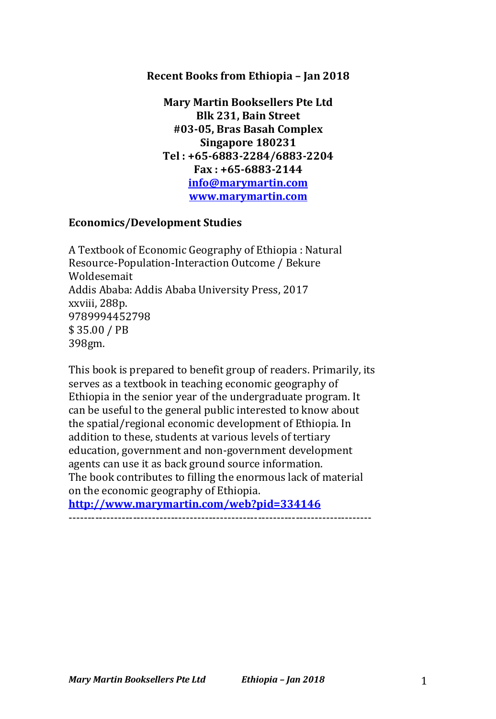### **Recent Books from Ethiopia – Jan 2018**

**Mary Martin Booksellers Pte Ltd Blk 231, Bain Street #03-05, Bras Basah Complex Singapore 180231 Tel : +65-6883-2284/6883-2204 Fax : +65-6883-2144 info@marymartin.com www.marymartin.com**

#### **Economics/Development Studies**

A Textbook of Economic Geography of Ethiopia : Natural Resource-Population-Interaction Outcome / Bekure Woldesemait Addis Ababa: Addis Ababa University Press, 2017 xxviii, 288p. 9789994452798 \$ 35.00 / PB 398gm.

This book is prepared to benefit group of readers. Primarily, its serves as a textbook in teaching economic geography of Ethiopia in the senior year of the undergraduate program. It can be useful to the general public interested to know about the spatial/regional economic development of Ethiopia. In addition to these, students at various levels of tertiary education, government and non-government development agents can use it as back ground source information. The book contributes to filling the enormous lack of material on the economic geography of Ethiopia.

**http://www.marymartin.com/web?pid=334146** --------------------------------------------------------------------------------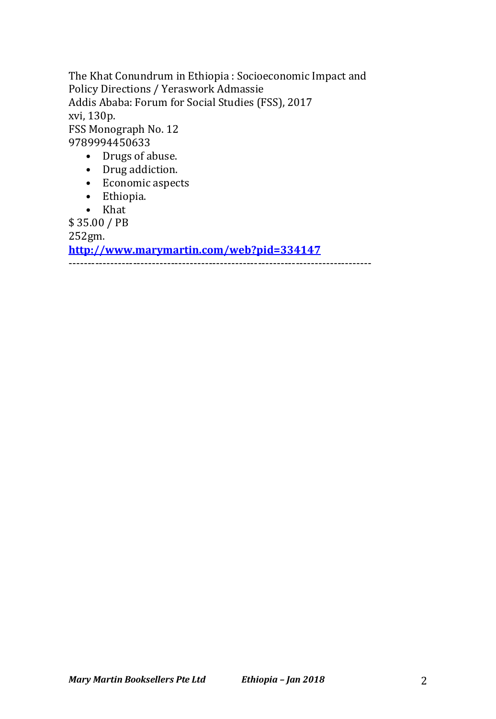The Khat Conundrum in Ethiopia : Socioeconomic Impact and Policy Directions / Yeraswork Admassie Addis Ababa: Forum for Social Studies (FSS), 2017 xvi, 130p. FSS Monograph No. 12 9789994450633

- Drugs of abuse.
- Drug addiction.
- Economic aspects
- Ethiopia.
- Khat

\$ 35.00 / PB

252gm.

**http://www.marymartin.com/web?pid=334147**

--------------------------------------------------------------------------------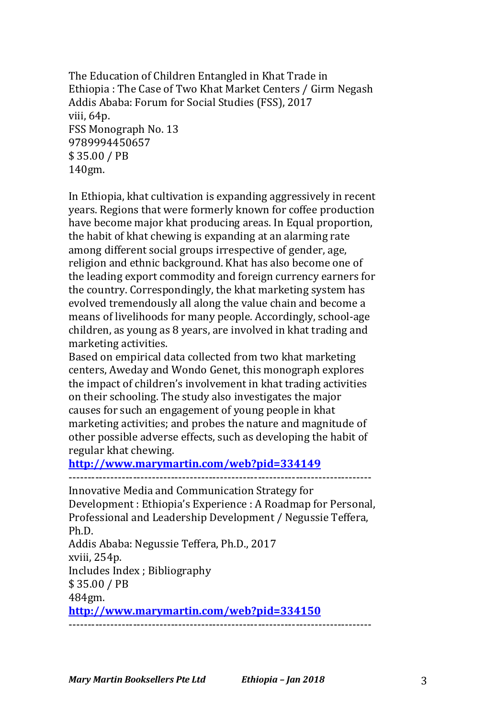The Education of Children Entangled in Khat Trade in Ethiopia: The Case of Two Khat Market Centers / Girm Negash Addis Ababa: Forum for Social Studies (FSS), 2017 viii, 64p. FSS Monograph No. 13 9789994450657 \$ 35.00 / PB 140gm.

In Ethiopia, khat cultivation is expanding aggressively in recent years. Regions that were formerly known for coffee production have become major khat producing areas. In Equal proportion, the habit of khat chewing is expanding at an alarming rate among different social groups irrespective of gender, age, religion and ethnic background. Khat has also become one of the leading export commodity and foreign currency earners for the country. Correspondingly, the khat marketing system has evolved tremendously all along the value chain and become a means of livelihoods for many people. Accordingly, school-age children, as young as 8 years, are involved in khat trading and marketing activities.

Based on empirical data collected from two khat marketing centers, Aweday and Wondo Genet, this monograph explores the impact of children's involvement in khat trading activities on their schooling. The study also investigates the major causes for such an engagement of young people in khat marketing activities; and probes the nature and magnitude of other possible adverse effects, such as developing the habit of regular khat chewing.

# **http://www.marymartin.com/web?pid=334149**

-------------------------------------------------------------------------------- Innovative Media and Communication Strategy for Development : Ethiopia's Experience : A Roadmap for Personal, Professional and Leadership Development / Negussie Teffera, Ph.D. Addis Ababa: Negussie Teffera, Ph.D., 2017 xviii, 254p. Includes Index ; Bibliography \$ 35.00 / PB 484gm. **http://www.marymartin.com/web?pid=334150**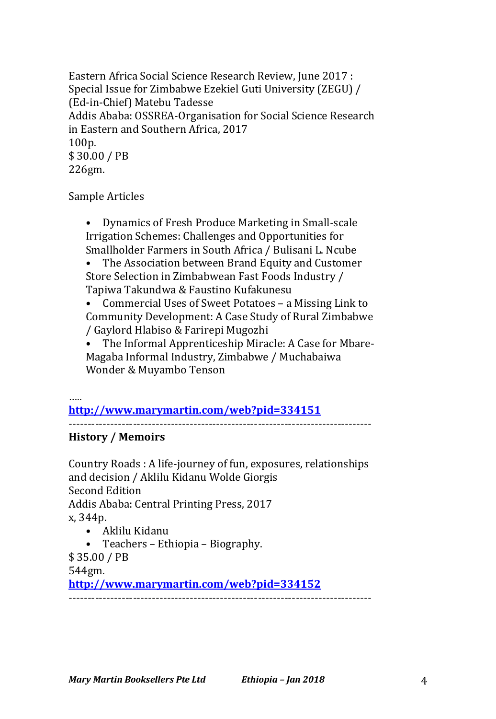Eastern Africa Social Science Research Review, June 2017 : Special Issue for Zimbabwe Ezekiel Guti University (ZEGU) / (Ed-in-Chief) Matebu Tadesse Addis Ababa: OSSREA-Organisation for Social Science Research in Eastern and Southern Africa, 2017 100p. \$ 30.00 / PB 226gm.

Sample Articles

Dynamics of Fresh Produce Marketing in Small-scale Irrigation Schemes: Challenges and Opportunities for Smallholder Farmers in South Africa / Bulisani L. Ncube

The Association between Brand Equity and Customer Store Selection in Zimbabwean Fast Foods Industry / Tapiwa Takundwa & Faustino Kufakunesu

• Commercial Uses of Sweet Potatoes – a Missing Link to Community Development: A Case Study of Rural Zimbabwe / Gaylord Hlabiso & Farirepi Mugozhi

• The Informal Apprenticeship Miracle: A Case for Mbare-Magaba Informal Industry, Zimbabwe / Muchabaiwa Wonder & Muyambo Tenson

…..

**http://www.marymartin.com/web?pid=334151** --------------------------------------------------------------------------------

### **History / Memoirs**

Country Roads : A life-journey of fun, exposures, relationships and decision / Aklilu Kidanu Wolde Giorgis Second Edition Addis Ababa: Central Printing Press, 2017 x, 344p.

--------------------------------------------------------------------------------

• Aklilu Kidanu

• Teachers – Ethiopia – Biography.

\$ 35.00 / PB

544gm.

**http://www.marymartin.com/web?pid=334152**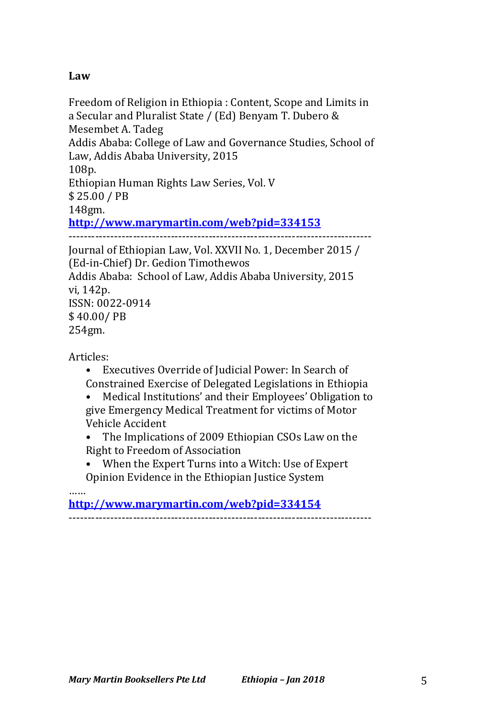## **Law**

Freedom of Religion in Ethiopia : Content, Scope and Limits in a Secular and Pluralist State / (Ed) Benyam T. Dubero & Mesembet A. Tadeg Addis Ababa: College of Law and Governance Studies, School of Law, Addis Ababa University, 2015 108p. Ethiopian Human Rights Law Series, Vol. V \$ 25.00 / PB 148gm. **http://www.marymartin.com/web?pid=334153** -------------------------------------------------------------------------------- Journal of Ethiopian Law, Vol. XXVII No. 1, December 2015 / (Ed-in-Chief) Dr. Gedion Timothewos Addis Ababa: School of Law, Addis Ababa University, 2015 vi, 142p. ISSN: 0022-0914

\$ 40.00/ PB

254gm.

Articles:

- Executives Override of Judicial Power: In Search of Constrained Exercise of Delegated Legislations in Ethiopia
- Medical Institutions' and their Employees' Obligation to give Emergency Medical Treatment for victims of Motor Vehicle Accident
- The Implications of 2009 Ethiopian CSOs Law on the Right to Freedom of Association
- When the Expert Turns into a Witch: Use of Expert Opinion Evidence in the Ethiopian Justice System

…… **http://www.marymartin.com/web?pid=334154** --------------------------------------------------------------------------------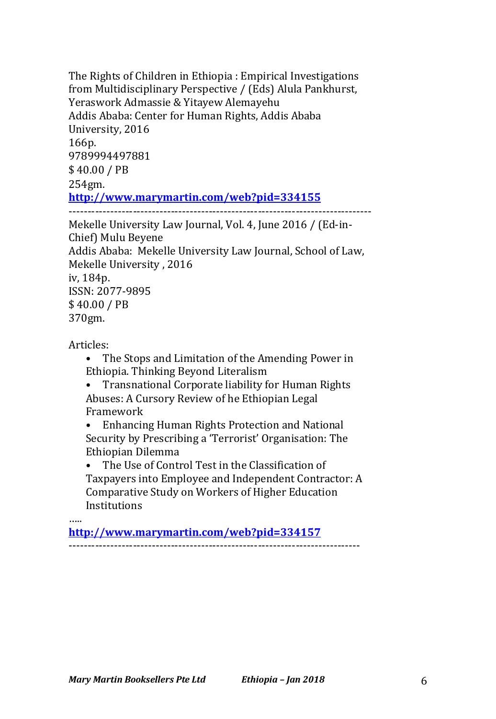The Rights of Children in Ethiopia : Empirical Investigations from Multidisciplinary Perspective / (Eds) Alula Pankhurst, Yeraswork Admassie & Yitayew Alemayehu Addis Ababa: Center for Human Rights, Addis Ababa University, 2016 166p. 9789994497881 \$ 40.00 / PB 254gm. **http://www.marymartin.com/web?pid=334155** -------------------------------------------------------------------------------- Mekelle University Law Journal, Vol. 4, June 2016 / (Ed-in-Chief) Mulu Beyene Addis Ababa: Mekelle University Law Journal, School of Law, Mekelle University, 2016

iv, 184p.

ISSN: 2077-9895 \$ 40.00 / PB 370gm.

Articles:

• The Stops and Limitation of the Amending Power in Ethiopia. Thinking Beyond Literalism

• Transnational Corporate liability for Human Rights Abuses: A Cursory Review of he Ethiopian Legal Framework

Enhancing Human Rights Protection and National Security by Prescribing a 'Terrorist' Organisation: The Ethiopian Dilemma

• The Use of Control Test in the Classification of Taxpayers into Employee and Independent Contractor: A Comparative Study on Workers of Higher Education **Institutions** 

….. **http://www.marymartin.com/web?pid=334157** -----------------------------------------------------------------------------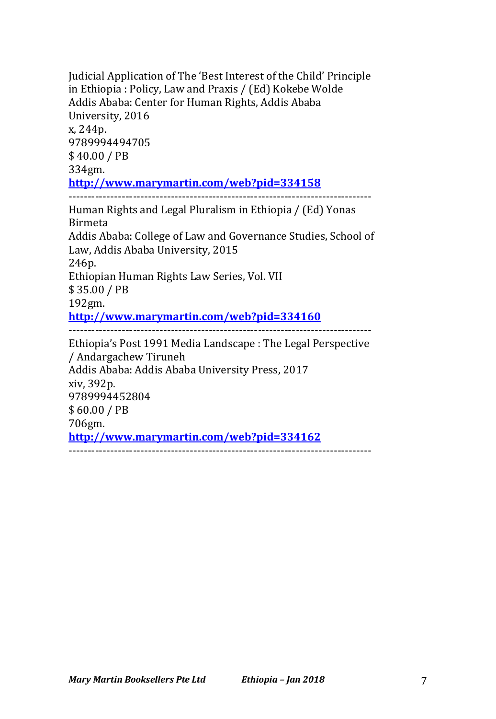Judicial Application of The 'Best Interest of the Child' Principle in Ethiopia : Policy, Law and Praxis / (Ed) Kokebe Wolde Addis Ababa: Center for Human Rights, Addis Ababa University, 2016 x, 244p. 9789994494705 \$ 40.00 / PB 334gm. **http://www.marymartin.com/web?pid=334158** -------------------------------------------------------------------------------- Human Rights and Legal Pluralism in Ethiopia / (Ed) Yonas Birmeta Addis Ababa: College of Law and Governance Studies, School of Law, Addis Ababa University, 2015 246p. Ethiopian Human Rights Law Series, Vol. VII \$ 35.00 / PB 192gm. **http://www.marymartin.com/web?pid=334160** -------------------------------------------------------------------------------- Ethiopia's Post 1991 Media Landscape : The Legal Perspective / Andargachew Tiruneh Addis Ababa: Addis Ababa University Press, 2017 xiv, 392p. 9789994452804 \$ 60.00 / PB 706gm. **http://www.marymartin.com/web?pid=334162** --------------------------------------------------------------------------------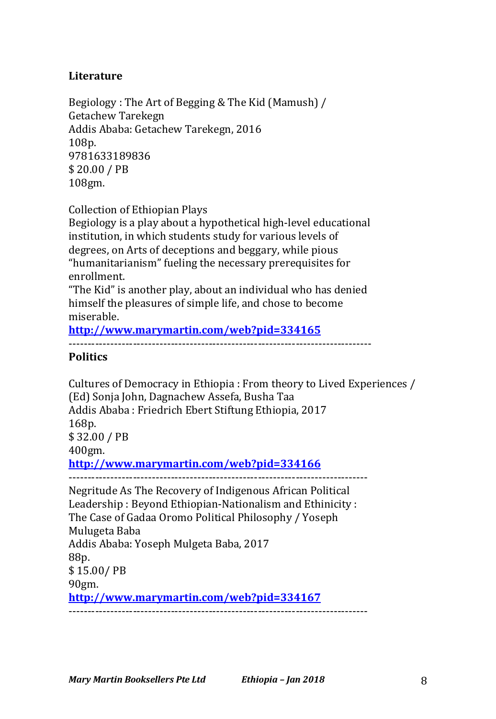### **Literature**

Begiology: The Art of Begging & The Kid (Mamush) / Getachew Tarekegn Addis Ababa: Getachew Tarekegn, 2016 108p. 9781633189836 \$ 20.00 / PB 108gm.

Collection of Ethiopian Plays

Begiology is a play about a hypothetical high-level educational institution, in which students study for various levels of degrees, on Arts of deceptions and beggary, while pious "humanitarianism" fueling the necessary prerequisites for enrollment.

"The Kid" is another play, about an individual who has denied himself the pleasures of simple life, and chose to become miserable.

**http://www.marymartin.com/web?pid=334165**

--------------------------------------------------------------------------------

#### **Politics**

Cultures of Democracy in Ethiopia : From theory to Lived Experiences / (Ed) Sonja John, Dagnachew Assefa, Busha Taa Addis Ababa: Friedrich Ebert Stiftung Ethiopia, 2017 168p. \$ 32.00 / PB 400gm. **http://www.marymartin.com/web?pid=334166** ------------------------------------------------------------------------------- Negritude As The Recovery of Indigenous African Political Leadership: Beyond Ethiopian-Nationalism and Ethinicity: The Case of Gadaa Oromo Political Philosophy / Yoseph Mulugeta Baba Addis Ababa: Yoseph Mulgeta Baba, 2017 88p. \$ 15.00/ PB 90gm.

**http://www.marymartin.com/web?pid=334167**